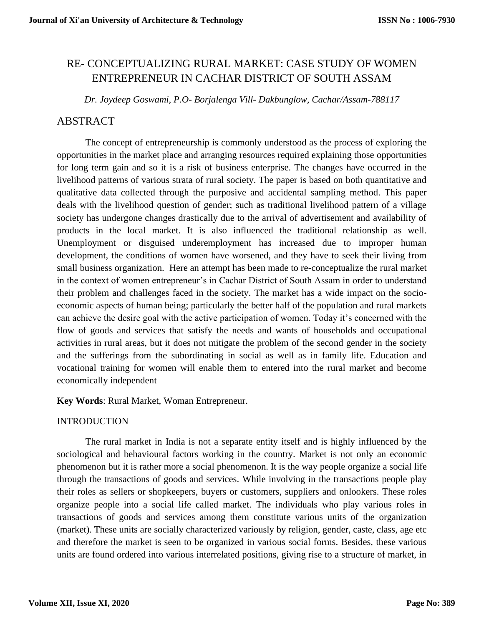# RE- CONCEPTUALIZING RURAL MARKET: CASE STUDY OF WOMEN ENTREPRENEUR IN CACHAR DISTRICT OF SOUTH ASSAM

*Dr. Joydeep Goswami, P.O- Borjalenga Vill- Dakbunglow, Cachar/Assam-788117*

### ABSTRACT

The concept of entrepreneurship is commonly understood as the process of exploring the opportunities in the market place and arranging resources required explaining those opportunities for long term gain and so it is a risk of business enterprise. The changes have occurred in the livelihood patterns of various strata of rural society. The paper is based on both quantitative and qualitative data collected through the purposive and accidental sampling method. This paper deals with the livelihood question of gender; such as traditional livelihood pattern of a village society has undergone changes drastically due to the arrival of advertisement and availability of products in the local market. It is also influenced the traditional relationship as well. Unemployment or disguised underemployment has increased due to improper human development, the conditions of women have worsened, and they have to seek their living from small business organization. Here an attempt has been made to re-conceptualize the rural market in the context of women entrepreneur's in Cachar District of South Assam in order to understand their problem and challenges faced in the society. The market has a wide impact on the socioeconomic aspects of human being; particularly the better half of the population and rural markets can achieve the desire goal with the active participation of women. Today it's concerned with the flow of goods and services that satisfy the needs and wants of households and occupational activities in rural areas, but it does not mitigate the problem of the second gender in the society and the sufferings from the subordinating in social as well as in family life. Education and vocational training for women will enable them to entered into the rural market and become economically independent

**Key Words**: Rural Market, Woman Entrepreneur.

#### INTRODUCTION

The rural market in India is not a separate entity itself and is highly influenced by the sociological and behavioural factors working in the country. Market is not only an economic phenomenon but it is rather more a social phenomenon. It is the way people organize a social life through the transactions of goods and services. While involving in the transactions people play their roles as sellers or shopkeepers, buyers or customers, suppliers and onlookers. These roles organize people into a social life called market. The individuals who play various roles in transactions of goods and services among them constitute various units of the organization (market). These units are socially characterized variously by religion, gender, caste, class, age etc and therefore the market is seen to be organized in various social forms. Besides, these various units are found ordered into various interrelated positions, giving rise to a structure of market, in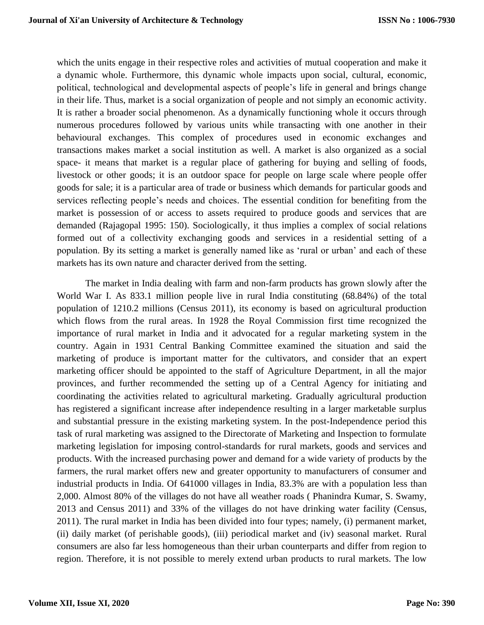which the units engage in their respective roles and activities of mutual cooperation and make it a dynamic whole. Furthermore, this dynamic whole impacts upon social, cultural, economic, political, technological and developmental aspects of people's life in general and brings change in their life. Thus, market is a social organization of people and not simply an economic activity. It is rather a broader social phenomenon. As a dynamically functioning whole it occurs through numerous procedures followed by various units while transacting with one another in their behavioural exchanges. This complex of procedures used in economic exchanges and transactions makes market a social institution as well. A market is also organized as a social space- it means that market is a regular place of gathering for buying and selling of foods, livestock or other goods; it is an outdoor space for people on large scale where people offer goods for sale; it is a particular area of trade or business which demands for particular goods and services reflecting people's needs and choices. The essential condition for benefiting from the market is possession of or access to assets required to produce goods and services that are demanded (Rajagopal 1995: 150). Sociologically, it thus implies a complex of social relations formed out of a collectivity exchanging goods and services in a residential setting of a population. By its setting a market is generally named like as 'rural or urban' and each of these markets has its own nature and character derived from the setting.

The market in India dealing with farm and non-farm products has grown slowly after the World War I. As 833.1 million people live in rural India constituting (68.84%) of the total population of 1210.2 millions (Census 2011), its economy is based on agricultural production which flows from the rural areas. In 1928 the Royal Commission first time recognized the importance of rural market in India and it advocated for a regular marketing system in the country. Again in 1931 Central Banking Committee examined the situation and said the marketing of produce is important matter for the cultivators, and consider that an expert marketing officer should be appointed to the staff of Agriculture Department, in all the major provinces, and further recommended the setting up of a Central Agency for initiating and coordinating the activities related to agricultural marketing. Gradually agricultural production has registered a significant increase after independence resulting in a larger marketable surplus and substantial pressure in the existing marketing system. In the post-Independence period this task of rural marketing was assigned to the Directorate of Marketing and Inspection to formulate marketing legislation for imposing control-standards for rural markets, goods and services and products. With the increased purchasing power and demand for a wide variety of products by the farmers, the rural market offers new and greater opportunity to manufacturers of consumer and industrial products in India. Of 641000 villages in India, 83.3% are with a population less than 2,000. Almost 80% of the villages do not have all weather roads ( Phanindra Kumar, S. Swamy, 2013 and Census 2011) and 33% of the villages do not have drinking water facility (Census, 2011). The rural market in India has been divided into four types; namely, (i) permanent market, (ii) daily market (of perishable goods), (iii) periodical market and (iv) seasonal market. Rural consumers are also far less homogeneous than their urban counterparts and differ from region to region. Therefore, it is not possible to merely extend urban products to rural markets. The low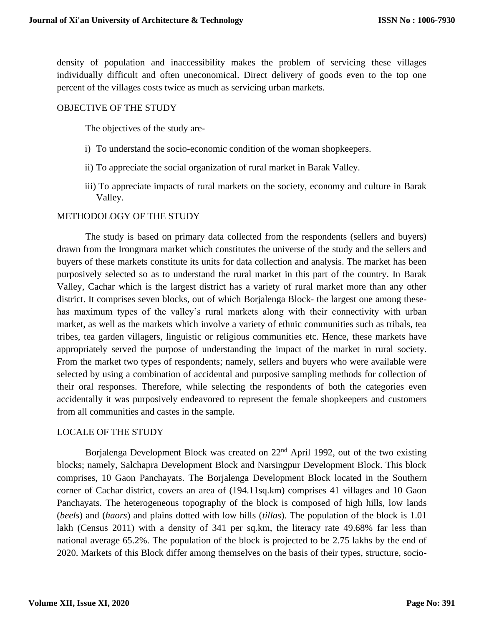density of population and inaccessibility makes the problem of servicing these villages individually difficult and often uneconomical. Direct delivery of goods even to the top one percent of the villages costs twice as much as servicing urban markets.

#### OBJECTIVE OF THE STUDY

The objectives of the study are-

- i) To understand the socio-economic condition of the woman shopkeepers.
- ii) To appreciate the social organization of rural market in Barak Valley.
- iii) To appreciate impacts of rural markets on the society, economy and culture in Barak Valley.

### METHODOLOGY OF THE STUDY

The study is based on primary data collected from the respondents (sellers and buyers) drawn from the Irongmara market which constitutes the universe of the study and the sellers and buyers of these markets constitute its units for data collection and analysis. The market has been purposively selected so as to understand the rural market in this part of the country. In Barak Valley, Cachar which is the largest district has a variety of rural market more than any other district. It comprises seven blocks, out of which Borjalenga Block- the largest one among thesehas maximum types of the valley's rural markets along with their connectivity with urban market, as well as the markets which involve a variety of ethnic communities such as tribals, tea tribes, tea garden villagers, linguistic or religious communities etc. Hence, these markets have appropriately served the purpose of understanding the impact of the market in rural society. From the market two types of respondents; namely, sellers and buyers who were available were selected by using a combination of accidental and purposive sampling methods for collection of their oral responses. Therefore, while selecting the respondents of both the categories even accidentally it was purposively endeavored to represent the female shopkeepers and customers from all communities and castes in the sample.

#### LOCALE OF THE STUDY

Borjalenga Development Block was created on 22<sup>nd</sup> April 1992, out of the two existing blocks; namely, Salchapra Development Block and Narsingpur Development Block. This block comprises, 10 Gaon Panchayats. The Borjalenga Development Block located in the Southern corner of Cachar district, covers an area of (194.11sq.km) comprises 41 villages and 10 Gaon Panchayats. The heterogeneous topography of the block is composed of high hills, low lands (*beels*) and (*haors*) and plains dotted with low hills (*tillas*). The population of the block is 1.01 lakh (Census 2011) with a density of 341 per sq.km, the literacy rate 49.68% far less than national average 65.2%. The population of the block is projected to be 2.75 lakhs by the end of 2020. Markets of this Block differ among themselves on the basis of their types, structure, socio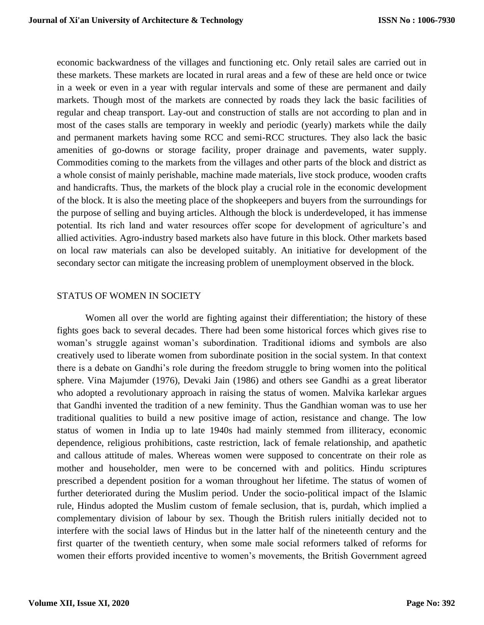economic backwardness of the villages and functioning etc. Only retail sales are carried out in these markets. These markets are located in rural areas and a few of these are held once or twice in a week or even in a year with regular intervals and some of these are permanent and daily markets. Though most of the markets are connected by roads they lack the basic facilities of regular and cheap transport. Lay-out and construction of stalls are not according to plan and in most of the cases stalls are temporary in weekly and periodic (yearly) markets while the daily and permanent markets having some RCC and semi-RCC structures. They also lack the basic amenities of go-downs or storage facility, proper drainage and pavements, water supply. Commodities coming to the markets from the villages and other parts of the block and district as a whole consist of mainly perishable, machine made materials, live stock produce, wooden crafts and handicrafts. Thus, the markets of the block play a crucial role in the economic development of the block. It is also the meeting place of the shopkeepers and buyers from the surroundings for the purpose of selling and buying articles. Although the block is underdeveloped, it has immense potential. Its rich land and water resources offer scope for development of agriculture's and allied activities. Agro-industry based markets also have future in this block. Other markets based on local raw materials can also be developed suitably. An initiative for development of the secondary sector can mitigate the increasing problem of unemployment observed in the block.

#### STATUS OF WOMEN IN SOCIETY

Women all over the world are fighting against their differentiation; the history of these fights goes back to several decades. There had been some historical forces which gives rise to woman's struggle against woman's subordination. Traditional idioms and symbols are also creatively used to liberate women from subordinate position in the social system. In that context there is a debate on Gandhi's role during the freedom struggle to bring women into the political sphere. Vina Majumder (1976), Devaki Jain (1986) and others see Gandhi as a great liberator who adopted a revolutionary approach in raising the status of women. Malvika karlekar argues that Gandhi invented the tradition of a new feminity. Thus the Gandhian woman was to use her traditional qualities to build a new positive image of action, resistance and change. The low status of women in India up to late 1940s had mainly stemmed from illiteracy, economic dependence, religious prohibitions, caste restriction, lack of female relationship, and apathetic and callous attitude of males. Whereas women were supposed to concentrate on their role as mother and householder, men were to be concerned with and politics. Hindu scriptures prescribed a dependent position for a woman throughout her lifetime. The status of women of further deteriorated during the Muslim period. Under the socio-political impact of the Islamic rule, Hindus adopted the Muslim custom of female seclusion, that is, purdah, which implied a complementary division of labour by sex. Though the British rulers initially decided not to interfere with the social laws of Hindus but in the latter half of the nineteenth century and the first quarter of the twentieth century, when some male social reformers talked of reforms for women their efforts provided incentive to women's movements, the British Government agreed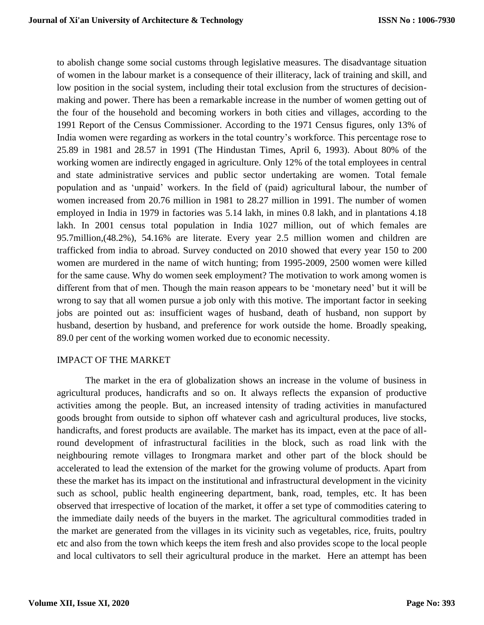to abolish change some social customs through legislative measures. The disadvantage situation of women in the labour market is a consequence of their illiteracy, lack of training and skill, and low position in the social system, including their total exclusion from the structures of decisionmaking and power. There has been a remarkable increase in the number of women getting out of the four of the household and becoming workers in both cities and villages, according to the 1991 Report of the Census Commissioner. According to the 1971 Census figures, only 13% of India women were regarding as workers in the total country's workforce. This percentage rose to 25.89 in 1981 and 28.57 in 1991 (The Hindustan Times, April 6, 1993). About 80% of the working women are indirectly engaged in agriculture. Only 12% of the total employees in central and state administrative services and public sector undertaking are women. Total female population and as 'unpaid' workers. In the field of (paid) agricultural labour, the number of women increased from 20.76 million in 1981 to 28.27 million in 1991. The number of women employed in India in 1979 in factories was 5.14 lakh, in mines 0.8 lakh, and in plantations 4.18 lakh. In 2001 census total population in India 1027 million, out of which females are 95.7million,(48.2%), 54.16% are literate. Every year 2.5 million women and children are trafficked from india to abroad. Survey conducted on 2010 showed that every year 150 to 200 women are murdered in the name of witch hunting; from 1995-2009, 2500 women were killed for the same cause. Why do women seek employment? The motivation to work among women is different from that of men. Though the main reason appears to be 'monetary need' but it will be wrong to say that all women pursue a job only with this motive. The important factor in seeking jobs are pointed out as: insufficient wages of husband, death of husband, non support by husband, desertion by husband, and preference for work outside the home. Broadly speaking, 89.0 per cent of the working women worked due to economic necessity.

#### IMPACT OF THE MARKET

The market in the era of globalization shows an increase in the volume of business in agricultural produces, handicrafts and so on. It always reflects the expansion of productive activities among the people. But, an increased intensity of trading activities in manufactured goods brought from outside to siphon off whatever cash and agricultural produces, live stocks, handicrafts, and forest products are available. The market has its impact, even at the pace of allround development of infrastructural facilities in the block, such as road link with the neighbouring remote villages to Irongmara market and other part of the block should be accelerated to lead the extension of the market for the growing volume of products. Apart from these the market has its impact on the institutional and infrastructural development in the vicinity such as school, public health engineering department, bank, road, temples, etc. It has been observed that irrespective of location of the market, it offer a set type of commodities catering to the immediate daily needs of the buyers in the market. The agricultural commodities traded in the market are generated from the villages in its vicinity such as vegetables, rice, fruits, poultry etc and also from the town which keeps the item fresh and also provides scope to the local people and local cultivators to sell their agricultural produce in the market. Here an attempt has been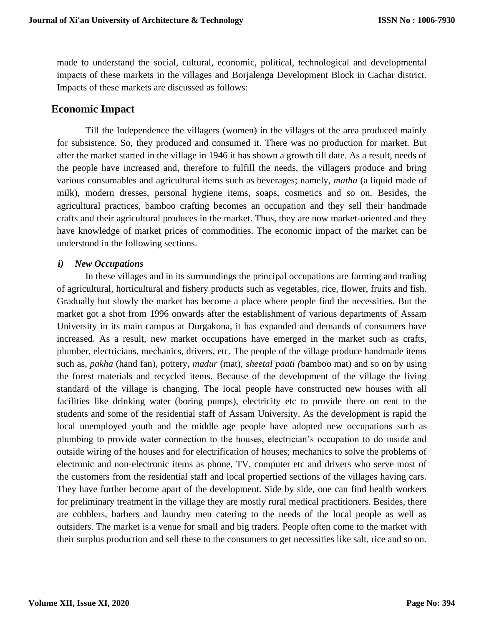made to understand the social, cultural, economic, political, technological and developmental impacts of these markets in the villages and Borjalenga Development Block in Cachar district. Impacts of these markets are discussed as follows:

# **Economic Impact**

Till the Independence the villagers (women) in the villages of the area produced mainly for subsistence. So, they produced and consumed it. There was no production for market. But after the market started in the village in 1946 it has shown a growth till date. As a result, needs of the people have increased and, therefore to fulfill the needs, the villagers produce and bring various consumables and agricultural items such as beverages; namely, *matha* (a liquid made of milk), modern dresses, personal hygiene items, soaps, cosmetics and so on. Besides, the agricultural practices, bamboo crafting becomes an occupation and they sell their handmade crafts and their agricultural produces in the market. Thus, they are now market-oriented and they have knowledge of market prices of commodities. The economic impact of the market can be understood in the following sections.

#### *i) New Occupations*

In these villages and in its surroundings the principal occupations are farming and trading of agricultural, horticultural and fishery products such as vegetables, rice, flower, fruits and fish. Gradually but slowly the market has become a place where people find the necessities. But the market got a shot from 1996 onwards after the establishment of various departments of Assam University in its main campus at Durgakona, it has expanded and demands of consumers have increased. As a result, new market occupations have emerged in the market such as crafts, plumber, electricians, mechanics, drivers, etc. The people of the village produce handmade items such as, *pakha* (hand fan), pottery, *madur* (mat), *sheetal paati (*bamboo mat) and so on by using the forest materials and recycled items. Because of the development of the village the living standard of the village is changing. The local people have constructed new houses with all facilities like drinking water (boring pumps), electricity etc to provide there on rent to the students and some of the residential staff of Assam University. As the development is rapid the local unemployed youth and the middle age people have adopted new occupations such as plumbing to provide water connection to the houses, electrician's occupation to do inside and outside wiring of the houses and for electrification of houses; mechanics to solve the problems of electronic and non-electronic items as phone, TV, computer etc and drivers who serve most of the customers from the residential staff and local propertied sections of the villages having cars. They have further become apart of the development. Side by side, one can find health workers for preliminary treatment in the village they are mostly rural medical practitioners. Besides, there are cobblers, barbers and laundry men catering to the needs of the local people as well as outsiders. The market is a venue for small and big traders. People often come to the market with their surplus production and sell these to the consumers to get necessities like salt, rice and so on.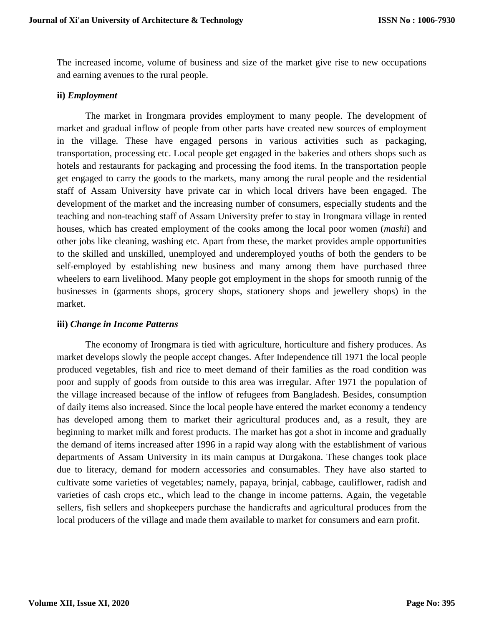The increased income, volume of business and size of the market give rise to new occupations and earning avenues to the rural people.

#### **ii)** *Employment*

The market in Irongmara provides employment to many people. The development of market and gradual inflow of people from other parts have created new sources of employment in the village. These have engaged persons in various activities such as packaging, transportation, processing etc. Local people get engaged in the bakeries and others shops such as hotels and restaurants for packaging and processing the food items. In the transportation people get engaged to carry the goods to the markets, many among the rural people and the residential staff of Assam University have private car in which local drivers have been engaged. The development of the market and the increasing number of consumers, especially students and the teaching and non-teaching staff of Assam University prefer to stay in Irongmara village in rented houses, which has created employment of the cooks among the local poor women (*mashi*) and other jobs like cleaning, washing etc. Apart from these, the market provides ample opportunities to the skilled and unskilled, unemployed and underemployed youths of both the genders to be self-employed by establishing new business and many among them have purchased three wheelers to earn livelihood. Many people got employment in the shops for smooth runnig of the businesses in (garments shops, grocery shops, stationery shops and jewellery shops) in the market.

#### **iii)** *Change in Income Patterns*

The economy of Irongmara is tied with agriculture, horticulture and fishery produces. As market develops slowly the people accept changes. After Independence till 1971 the local people produced vegetables, fish and rice to meet demand of their families as the road condition was poor and supply of goods from outside to this area was irregular. After 1971 the population of the village increased because of the inflow of refugees from Bangladesh. Besides, consumption of daily items also increased. Since the local people have entered the market economy a tendency has developed among them to market their agricultural produces and, as a result, they are beginning to market milk and forest products. The market has got a shot in income and gradually the demand of items increased after 1996 in a rapid way along with the establishment of various departments of Assam University in its main campus at Durgakona. These changes took place due to literacy, demand for modern accessories and consumables. They have also started to cultivate some varieties of vegetables; namely, papaya, brinjal, cabbage, cauliflower, radish and varieties of cash crops etc., which lead to the change in income patterns. Again, the vegetable sellers, fish sellers and shopkeepers purchase the handicrafts and agricultural produces from the local producers of the village and made them available to market for consumers and earn profit.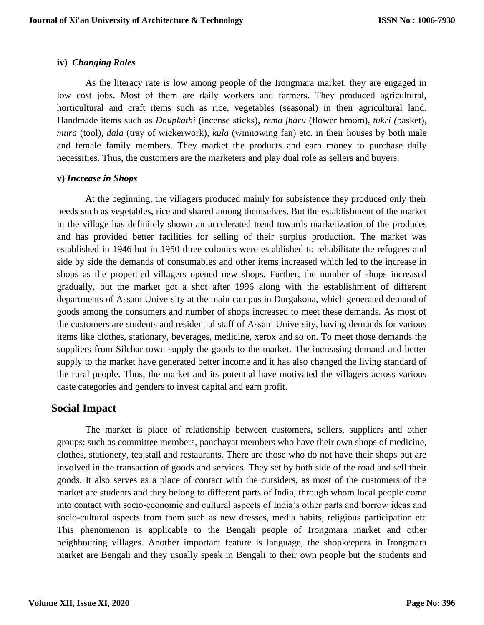### **iv)** *Changing Roles*

As the literacy rate is low among people of the Irongmara market, they are engaged in low cost jobs. Most of them are daily workers and farmers. They produced agricultural, horticultural and craft items such as rice, vegetables (seasonal) in their agricultural land. Handmade items such as *Dhupkathi* (incense sticks), *rema jharu* (flower broom)*, tukri (*basket), *mura* (tool)*, dala* (tray of wickerwork)*, kula* (winnowing fan) etc. in their houses by both male and female family members. They market the products and earn money to purchase daily necessities. Thus, the customers are the marketers and play dual role as sellers and buyers.

### **v)** *Increase in Shops*

At the beginning, the villagers produced mainly for subsistence they produced only their needs such as vegetables, rice and shared among themselves. But the establishment of the market in the village has definitely shown an accelerated trend towards marketization of the produces and has provided better facilities for selling of their surplus production. The market was established in 1946 but in 1950 three colonies were established to rehabilitate the refugees and side by side the demands of consumables and other items increased which led to the increase in shops as the propertied villagers opened new shops. Further, the number of shops increased gradually, but the market got a shot after 1996 along with the establishment of different departments of Assam University at the main campus in Durgakona, which generated demand of goods among the consumers and number of shops increased to meet these demands. As most of the customers are students and residential staff of Assam University, having demands for various items like clothes, stationary, beverages, medicine, xerox and so on. To meet those demands the suppliers from Silchar town supply the goods to the market. The increasing demand and better supply to the market have generated better income and it has also changed the living standard of the rural people. Thus, the market and its potential have motivated the villagers across various caste categories and genders to invest capital and earn profit.

# **Social Impact**

The market is place of relationship between customers, sellers, suppliers and other groups; such as committee members, panchayat members who have their own shops of medicine, clothes, stationery, tea stall and restaurants. There are those who do not have their shops but are involved in the transaction of goods and services. They set by both side of the road and sell their goods. It also serves as a place of contact with the outsiders, as most of the customers of the market are students and they belong to different parts of India, through whom local people come into contact with socio-economic and cultural aspects of India's other parts and borrow ideas and socio-cultural aspects from them such as new dresses, media habits, religious participation etc This phenomenon is applicable to the Bengali people of Irongmara market and other neighbouring villages. Another important feature is language, the shopkeepers in Irongmara market are Bengali and they usually speak in Bengali to their own people but the students and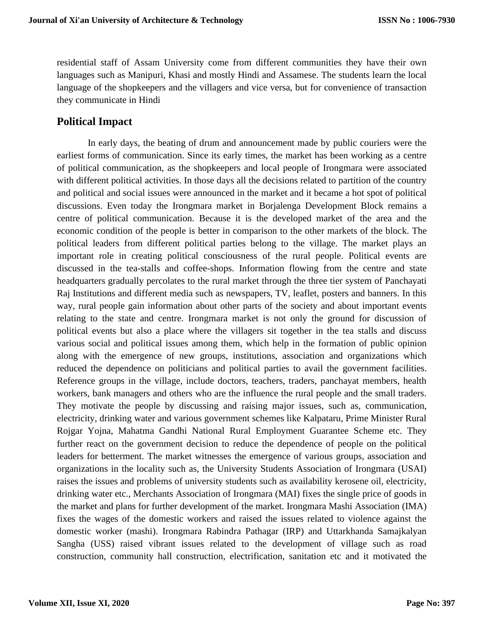residential staff of Assam University come from different communities they have their own languages such as Manipuri, Khasi and mostly Hindi and Assamese. The students learn the local language of the shopkeepers and the villagers and vice versa, but for convenience of transaction they communicate in Hindi

### **Political Impact**

In early days, the beating of drum and announcement made by public couriers were the earliest forms of communication. Since its early times, the market has been working as a centre of political communication, as the shopkeepers and local people of Irongmara were associated with different political activities. In those days all the decisions related to partition of the country and political and social issues were announced in the market and it became a hot spot of political discussions. Even today the Irongmara market in Borjalenga Development Block remains a centre of political communication. Because it is the developed market of the area and the economic condition of the people is better in comparison to the other markets of the block. The political leaders from different political parties belong to the village. The market plays an important role in creating political consciousness of the rural people. Political events are discussed in the tea-stalls and coffee-shops. Information flowing from the centre and state headquarters gradually percolates to the rural market through the three tier system of Panchayati Raj Institutions and different media such as newspapers, TV, leaflet, posters and banners. In this way, rural people gain information about other parts of the society and about important events relating to the state and centre. Irongmara market is not only the ground for discussion of political events but also a place where the villagers sit together in the tea stalls and discuss various social and political issues among them, which help in the formation of public opinion along with the emergence of new groups, institutions, association and organizations which reduced the dependence on politicians and political parties to avail the government facilities. Reference groups in the village, include doctors, teachers, traders, panchayat members, health workers, bank managers and others who are the influence the rural people and the small traders. They motivate the people by discussing and raising major issues, such as, communication, electricity, drinking water and various government schemes like Kalpataru, Prime Minister Rural Rojgar Yojna, Mahatma Gandhi National Rural Employment Guarantee Scheme etc. They further react on the government decision to reduce the dependence of people on the political leaders for betterment. The market witnesses the emergence of various groups, association and organizations in the locality such as, the University Students Association of Irongmara (USAI) raises the issues and problems of university students such as availability kerosene oil, electricity, drinking water etc., Merchants Association of Irongmara (MAI) fixes the single price of goods in the market and plans for further development of the market. Irongmara Mashi Association (IMA) fixes the wages of the domestic workers and raised the issues related to violence against the domestic worker (mashi). Irongmara Rabindra Pathagar (IRP) and Uttarkhanda Samajkalyan Sangha (USS) raised vibrant issues related to the development of village such as road construction, community hall construction, electrification, sanitation etc and it motivated the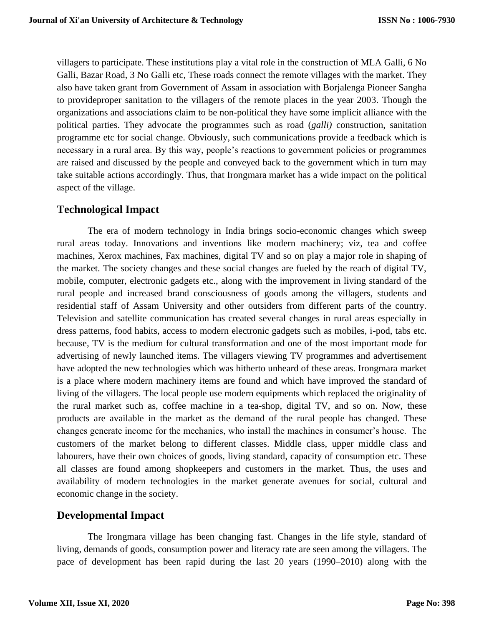villagers to participate. These institutions play a vital role in the construction of MLA Galli, 6 No Galli, Bazar Road, 3 No Galli etc, These roads connect the remote villages with the market. They also have taken grant from Government of Assam in association with Borjalenga Pioneer Sangha to provideproper sanitation to the villagers of the remote places in the year 2003. Though the organizations and associations claim to be non-political they have some implicit alliance with the political parties. They advocate the programmes such as road (*galli)* construction, sanitation programme etc for social change. Obviously, such communications provide a feedback which is necessary in a rural area. By this way, people's reactions to government policies or programmes are raised and discussed by the people and conveyed back to the government which in turn may take suitable actions accordingly. Thus, that Irongmara market has a wide impact on the political aspect of the village.

# **Technological Impact**

The era of modern technology in India brings socio-economic changes which sweep rural areas today. Innovations and inventions like modern machinery; viz, tea and coffee machines, Xerox machines, Fax machines, digital TV and so on play a major role in shaping of the market. The society changes and these social changes are fueled by the reach of digital TV, mobile, computer, electronic gadgets etc., along with the improvement in living standard of the rural people and increased brand consciousness of goods among the villagers, students and residential staff of Assam University and other outsiders from different parts of the country. Television and satellite communication has created several changes in rural areas especially in dress patterns, food habits, access to modern electronic gadgets such as mobiles, i-pod, tabs etc. because, TV is the medium for cultural transformation and one of the most important mode for advertising of newly launched items. The villagers viewing TV programmes and advertisement have adopted the new technologies which was hitherto unheard of these areas. Irongmara market is a place where modern machinery items are found and which have improved the standard of living of the villagers. The local people use modern equipments which replaced the originality of the rural market such as, coffee machine in a tea-shop, digital TV, and so on. Now, these products are available in the market as the demand of the rural people has changed. These changes generate income for the mechanics, who install the machines in consumer's house. The customers of the market belong to different classes. Middle class, upper middle class and labourers, have their own choices of goods, living standard, capacity of consumption etc. These all classes are found among shopkeepers and customers in the market. Thus, the uses and availability of modern technologies in the market generate avenues for social, cultural and economic change in the society.

# **Developmental Impact**

The Irongmara village has been changing fast. Changes in the life style, standard of living, demands of goods, consumption power and literacy rate are seen among the villagers. The pace of development has been rapid during the last 20 years (1990–2010) along with the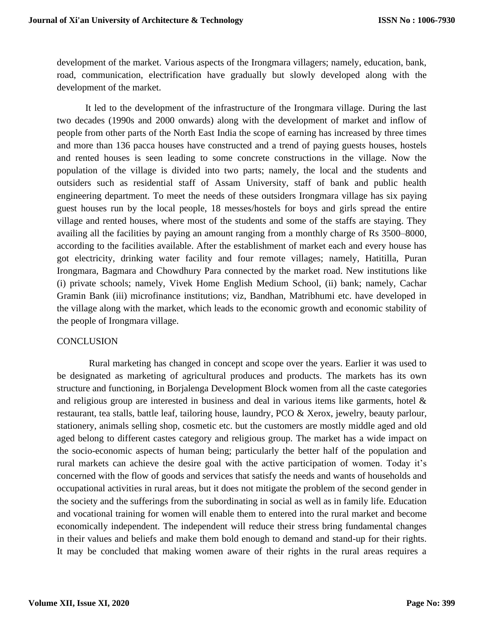development of the market. Various aspects of the Irongmara villagers; namely, education, bank, road, communication, electrification have gradually but slowly developed along with the development of the market.

It led to the development of the infrastructure of the Irongmara village. During the last two decades (1990s and 2000 onwards) along with the development of market and inflow of people from other parts of the North East India the scope of earning has increased by three times and more than 136 pacca houses have constructed and a trend of paying guests houses, hostels and rented houses is seen leading to some concrete constructions in the village. Now the population of the village is divided into two parts; namely, the local and the students and outsiders such as residential staff of Assam University, staff of bank and public health engineering department. To meet the needs of these outsiders Irongmara village has six paying guest houses run by the local people, 18 messes/hostels for boys and girls spread the entire village and rented houses, where most of the students and some of the staffs are staying. They availing all the facilities by paying an amount ranging from a monthly charge of Rs 3500–8000, according to the facilities available. After the establishment of market each and every house has got electricity, drinking water facility and four remote villages; namely, Hatitilla, Puran Irongmara, Bagmara and Chowdhury Para connected by the market road. New institutions like (i) private schools; namely, Vivek Home English Medium School, (ii) bank; namely, Cachar Gramin Bank (iii) microfinance institutions; viz, Bandhan, Matribhumi etc. have developed in the village along with the market, which leads to the economic growth and economic stability of the people of Irongmara village.

#### **CONCLUSION**

Rural marketing has changed in concept and scope over the years. Earlier it was used to be designated as marketing of agricultural produces and products. The markets has its own structure and functioning, in Borjalenga Development Block women from all the caste categories and religious group are interested in business and deal in various items like garments, hotel  $\&$ restaurant, tea stalls, battle leaf, tailoring house, laundry, PCO & Xerox, jewelry, beauty parlour, stationery, animals selling shop, cosmetic etc. but the customers are mostly middle aged and old aged belong to different castes category and religious group. The market has a wide impact on the socio-economic aspects of human being; particularly the better half of the population and rural markets can achieve the desire goal with the active participation of women. Today it's concerned with the flow of goods and services that satisfy the needs and wants of households and occupational activities in rural areas, but it does not mitigate the problem of the second gender in the society and the sufferings from the subordinating in social as well as in family life. Education and vocational training for women will enable them to entered into the rural market and become economically independent. The independent will reduce their stress bring fundamental changes in their values and beliefs and make them bold enough to demand and stand-up for their rights. It may be concluded that making women aware of their rights in the rural areas requires a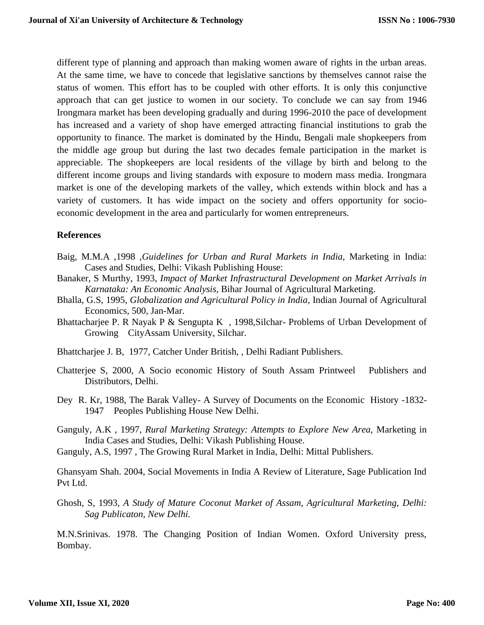different type of planning and approach than making women aware of rights in the urban areas. At the same time, we have to concede that legislative sanctions by themselves cannot raise the status of women. This effort has to be coupled with other efforts. It is only this conjunctive approach that can get justice to women in our society. To conclude we can say from 1946 Irongmara market has been developing gradually and during 1996-2010 the pace of development has increased and a variety of shop have emerged attracting financial institutions to grab the opportunity to finance. The market is dominated by the Hindu, Bengali male shopkeepers from the middle age group but during the last two decades female participation in the market is appreciable. The shopkeepers are local residents of the village by birth and belong to the different income groups and living standards with exposure to modern mass media. Irongmara market is one of the developing markets of the valley, which extends within block and has a variety of customers. It has wide impact on the society and offers opportunity for socioeconomic development in the area and particularly for women entrepreneurs.

#### **References**

- Baig, M.M.A ,1998 ,*Guidelines for Urban and Rural Markets in India,* Marketing in India: Cases and Studies, Delhi: Vikash Publishing House:
- Banaker, S Murthy, 1993, *Impact of Market Infrastructural Development on Market Arrivals in Karnataka: An Economic Analysis,* Bihar Journal of Agricultural Marketing.
- Bhalla, G.S, 1995, *Globalization and Agricultural Policy in India*, Indian Journal of Agricultural Economics*,* 500*,* Jan-Mar.
- Bhattacharjee P. R Nayak P & Sengupta K , 1998,Silchar- Problems of Urban Development of Growing CityAssam University, Silchar.
- Bhattcharjee J. B, 1977, Catcher Under British, , Delhi Radiant Publishers.
- Chatterjee S, 2000, A Socio economic History of South Assam Printweel Publishers and Distributors, Delhi.
- Dey R. Kr, 1988, The Barak Valley- A Survey of Documents on the Economic History -1832- 1947 Peoples Publishing House New Delhi.
- Ganguly, A.K , 1997, *Rural Marketing Strategy: Attempts to Explore New Area,* Marketing in India Cases and Studies, Delhi: Vikash Publishing House.
- Ganguly, A.S, 1997 , The Growing Rural Market in India, Delhi: Mittal Publishers.

Ghansyam Shah. 2004, Social Movements in India A Review of Literature, Sage Publication Ind Pvt Ltd.

Ghosh, S, 1993, *A Study of Mature Coconut Market of Assam, Agricultural Marketing, Delhi: Sag Publicaton, New Delhi.* 

M.N.Srinivas. 1978. The Changing Position of Indian Women. Oxford University press, Bombay.